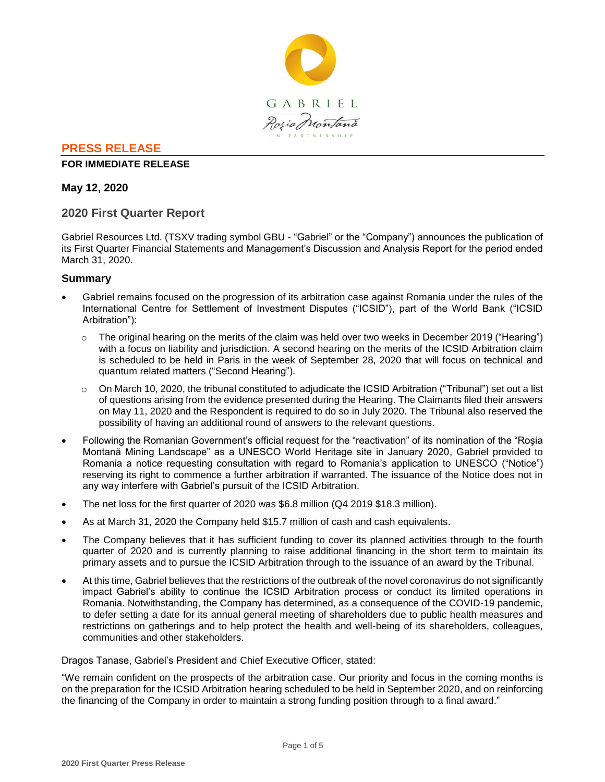

# **PRESS RELEASE**

#### **FOR IMMEDIATE RELEASE**

### **May 12, 2020**

## **2020 First Quarter Report**

Gabriel Resources Ltd. (TSXV trading symbol GBU - "Gabriel" or the "Company") announces the publication of its First Quarter Financial Statements and Management's Discussion and Analysis Report for the period ended March 31, 2020.

### **Summary**

- Gabriel remains focused on the progression of its arbitration case against Romania under the rules of the International Centre for Settlement of Investment Disputes ("ICSID"), part of the World Bank ("ICSID Arbitration"):
	- o The original hearing on the merits of the claim was held over two weeks in December 2019 ("Hearing") with a focus on liability and jurisdiction. A second hearing on the merits of the ICSID Arbitration claim is scheduled to be held in Paris in the week of September 28, 2020 that will focus on technical and quantum related matters ("Second Hearing").
	- o On March 10, 2020, the tribunal constituted to adjudicate the ICSID Arbitration ("Tribunal") set out a list of questions arising from the evidence presented during the Hearing. The Claimants filed their answers on May 11, 2020 and the Respondent is required to do so in July 2020. The Tribunal also reserved the possibility of having an additional round of answers to the relevant questions.
- Following the Romanian Government's official request for the "reactivation" of its nomination of the "Roşia Montană Mining Landscape" as a UNESCO World Heritage site in January 2020, Gabriel provided to Romania a notice requesting consultation with regard to Romania's application to UNESCO ("Notice") reserving its right to commence a further arbitration if warranted. The issuance of the Notice does not in any way interfere with Gabriel's pursuit of the ICSID Arbitration.
- The net loss for the first quarter of 2020 was \$6.8 million (Q4 2019 \$18.3 million).
- As at March 31, 2020 the Company held \$15.7 million of cash and cash equivalents.
- The Company believes that it has sufficient funding to cover its planned activities through to the fourth quarter of 2020 and is currently planning to raise additional financing in the short term to maintain its primary assets and to pursue the ICSID Arbitration through to the issuance of an award by the Tribunal.
- At this time, Gabriel believes that the restrictions of the outbreak of the novel coronavirus do not significantly impact Gabriel's ability to continue the ICSID Arbitration process or conduct its limited operations in Romania. Notwithstanding, the Company has determined, as a consequence of the COVID-19 pandemic, to defer setting a date for its annual general meeting of shareholders due to public health measures and restrictions on gatherings and to help protect the health and well-being of its shareholders, colleagues, communities and other stakeholders.

Dragos Tanase, Gabriel's President and Chief Executive Officer, stated:

"We remain confident on the prospects of the arbitration case. Our priority and focus in the coming months is on the preparation for the ICSID Arbitration hearing scheduled to be held in September 2020, and on reinforcing the financing of the Company in order to maintain a strong funding position through to a final award."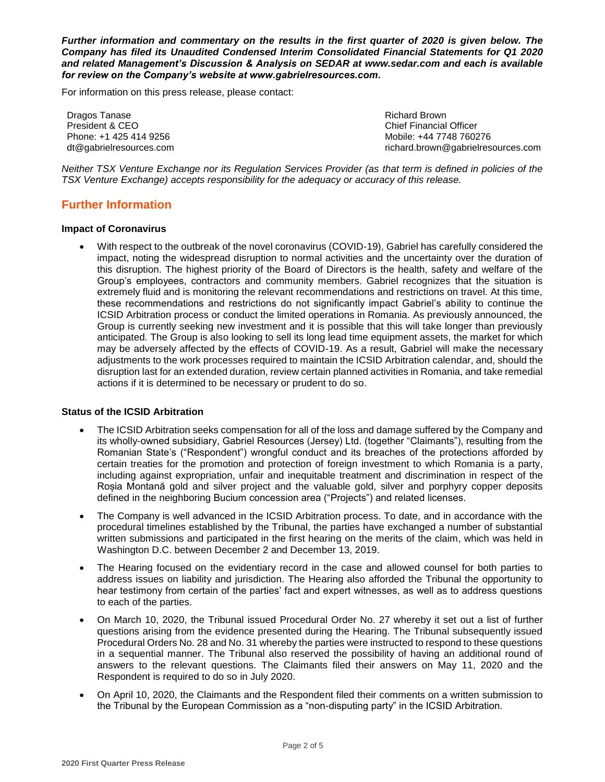*Further information and commentary on the results in the first quarter of 2020 is given below. The Company has filed its Unaudited Condensed Interim Consolidated Financial Statements for Q1 2020 and related Management's Discussion & Analysis on SEDAR at www.sedar.com and each is available for review on the Company's website at www.gabrielresources.com.* 

For information on this press release, please contact:

Dragos Tanase President & CEO Phone: +1 425 414 9256 dt@gabrielresources.com Richard Brown Chief Financial Officer Mobile: +44 7748 760276 richard.brown@gabrielresources.com

*Neither TSX Venture Exchange nor its Regulation Services Provider (as that term is defined in policies of the TSX Venture Exchange) accepts responsibility for the adequacy or accuracy of this release.*

## **Further Information**

#### **Impact of Coronavirus**

 With respect to the outbreak of the novel coronavirus (COVID-19), Gabriel has carefully considered the impact, noting the widespread disruption to normal activities and the uncertainty over the duration of this disruption. The highest priority of the Board of Directors is the health, safety and welfare of the Group's employees, contractors and community members. Gabriel recognizes that the situation is extremely fluid and is monitoring the relevant recommendations and restrictions on travel. At this time, these recommendations and restrictions do not significantly impact Gabriel's ability to continue the ICSID Arbitration process or conduct the limited operations in Romania. As previously announced, the Group is currently seeking new investment and it is possible that this will take longer than previously anticipated. The Group is also looking to sell its long lead time equipment assets, the market for which may be adversely affected by the effects of COVID-19. As a result, Gabriel will make the necessary adjustments to the work processes required to maintain the ICSID Arbitration calendar, and, should the disruption last for an extended duration, review certain planned activities in Romania, and take remedial actions if it is determined to be necessary or prudent to do so.

#### **Status of the ICSID Arbitration**

- The ICSID Arbitration seeks compensation for all of the loss and damage suffered by the Company and its wholly-owned subsidiary, Gabriel Resources (Jersey) Ltd. (together "Claimants"), resulting from the Romanian State's ("Respondent") wrongful conduct and its breaches of the protections afforded by certain treaties for the promotion and protection of foreign investment to which Romania is a party, including against expropriation, unfair and inequitable treatment and discrimination in respect of the Roșia Montană gold and silver project and the valuable gold, silver and porphyry copper deposits defined in the neighboring Bucium concession area ("Projects") and related licenses.
- The Company is well advanced in the ICSID Arbitration process. To date, and in accordance with the procedural timelines established by the Tribunal, the parties have exchanged a number of substantial written submissions and participated in the first hearing on the merits of the claim, which was held in Washington D.C. between December 2 and December 13, 2019.
- The Hearing focused on the evidentiary record in the case and allowed counsel for both parties to address issues on liability and jurisdiction. The Hearing also afforded the Tribunal the opportunity to hear testimony from certain of the parties' fact and expert witnesses, as well as to address questions to each of the parties.
- On March 10, 2020, the Tribunal issued Procedural Order No. 27 whereby it set out a list of further questions arising from the evidence presented during the Hearing. The Tribunal subsequently issued Procedural Orders No. 28 and No. 31 whereby the parties were instructed to respond to these questions in a sequential manner. The Tribunal also reserved the possibility of having an additional round of answers to the relevant questions. The Claimants filed their answers on May 11, 2020 and the Respondent is required to do so in July 2020.
- On April 10, 2020, the Claimants and the Respondent filed their comments on a written submission to the Tribunal by the European Commission as a "non-disputing party" in the ICSID Arbitration.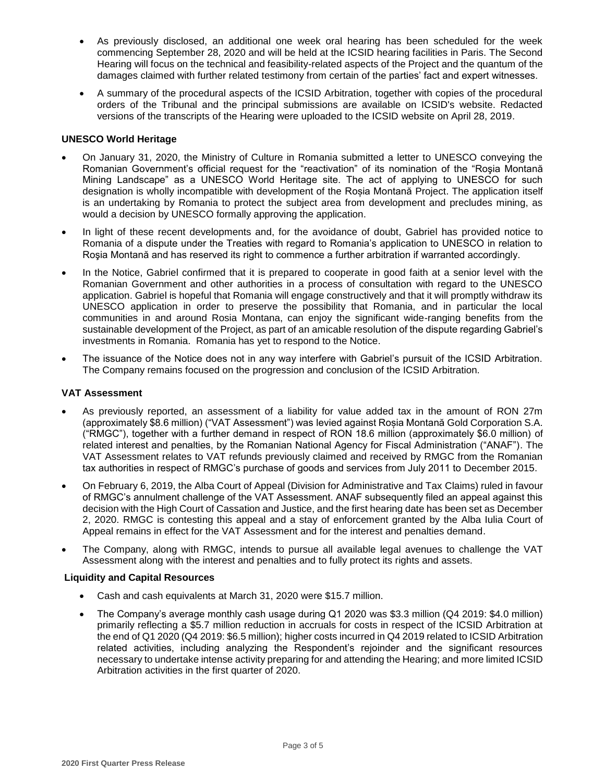- As previously disclosed, an additional one week oral hearing has been scheduled for the week commencing September 28, 2020 and will be held at the ICSID hearing facilities in Paris. The Second Hearing will focus on the technical and feasibility-related aspects of the Project and the quantum of the damages claimed with further related testimony from certain of the parties' fact and expert witnesses.
- A summary of the procedural aspects of the ICSID Arbitration, together with copies of the procedural orders of the Tribunal and the principal submissions are available on ICSID's website. Redacted versions of the transcripts of the Hearing were uploaded to the ICSID website on April 28, 2019.

#### **UNESCO World Heritage**

- On January 31, 2020, the Ministry of Culture in Romania submitted a letter to UNESCO conveying the Romanian Government's official request for the "reactivation" of its nomination of the "Roşia Montană Mining Landscape" as a UNESCO World Heritage site. The act of applying to UNESCO for such designation is wholly incompatible with development of the Rosia Montană Project. The application itself is an undertaking by Romania to protect the subject area from development and precludes mining, as would a decision by UNESCO formally approving the application.
- In light of these recent developments and, for the avoidance of doubt, Gabriel has provided notice to Romania of a dispute under the Treaties with regard to Romania's application to UNESCO in relation to Roşia Montană and has reserved its right to commence a further arbitration if warranted accordingly.
- In the Notice, Gabriel confirmed that it is prepared to cooperate in good faith at a senior level with the Romanian Government and other authorities in a process of consultation with regard to the UNESCO application. Gabriel is hopeful that Romania will engage constructively and that it will promptly withdraw its UNESCO application in order to preserve the possibility that Romania, and in particular the local communities in and around Rosia Montana, can enjoy the significant wide-ranging benefits from the sustainable development of the Project, as part of an amicable resolution of the dispute regarding Gabriel's investments in Romania. Romania has yet to respond to the Notice.
- The issuance of the Notice does not in any way interfere with Gabriel's pursuit of the ICSID Arbitration. The Company remains focused on the progression and conclusion of the ICSID Arbitration.

#### **VAT Assessment**

- As previously reported, an assessment of a liability for value added tax in the amount of RON 27m (approximately \$8.6 million) ("VAT Assessment") was levied against Roșia Montană Gold Corporation S.A. ("RMGC"), together with a further demand in respect of RON 18.6 million (approximately \$6.0 million) of related interest and penalties, by the Romanian National Agency for Fiscal Administration ("ANAF"). The VAT Assessment relates to VAT refunds previously claimed and received by RMGC from the Romanian tax authorities in respect of RMGC's purchase of goods and services from July 2011 to December 2015.
- On February 6, 2019, the Alba Court of Appeal (Division for Administrative and Tax Claims) ruled in favour of RMGC's annulment challenge of the VAT Assessment. ANAF subsequently filed an appeal against this decision with the High Court of Cassation and Justice, and the first hearing date has been set as December 2, 2020. RMGC is contesting this appeal and a stay of enforcement granted by the Alba Iulia Court of Appeal remains in effect for the VAT Assessment and for the interest and penalties demand.
- The Company, along with RMGC, intends to pursue all available legal avenues to challenge the VAT Assessment along with the interest and penalties and to fully protect its rights and assets.

#### **Liquidity and Capital Resources**

- Cash and cash equivalents at March 31, 2020 were \$15.7 million.
- The Company's average monthly cash usage during Q1 2020 was \$3.3 million (Q4 2019: \$4.0 million) primarily reflecting a \$5.7 million reduction in accruals for costs in respect of the ICSID Arbitration at the end of Q1 2020 (Q4 2019: \$6.5 million); higher costs incurred in Q4 2019 related to ICSID Arbitration related activities, including analyzing the Respondent's rejoinder and the significant resources necessary to undertake intense activity preparing for and attending the Hearing; and more limited ICSID Arbitration activities in the first quarter of 2020.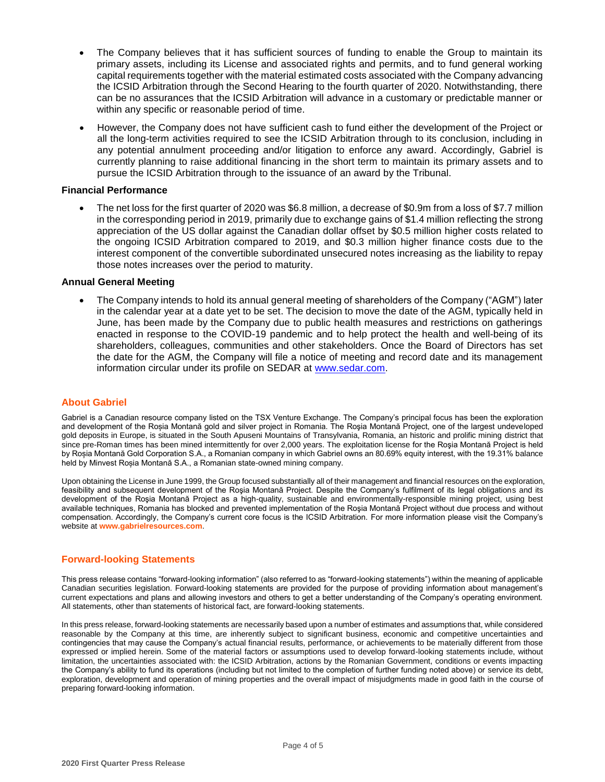- The Company believes that it has sufficient sources of funding to enable the Group to maintain its primary assets, including its License and associated rights and permits, and to fund general working capital requirements together with the material estimated costs associated with the Company advancing the ICSID Arbitration through the Second Hearing to the fourth quarter of 2020. Notwithstanding, there can be no assurances that the ICSID Arbitration will advance in a customary or predictable manner or within any specific or reasonable period of time.
- However, the Company does not have sufficient cash to fund either the development of the Project or all the long-term activities required to see the ICSID Arbitration through to its conclusion, including in any potential annulment proceeding and/or litigation to enforce any award. Accordingly, Gabriel is currently planning to raise additional financing in the short term to maintain its primary assets and to pursue the ICSID Arbitration through to the issuance of an award by the Tribunal.

#### **Financial Performance**

 The net loss for the first quarter of 2020 was \$6.8 million, a decrease of \$0.9m from a loss of \$7.7 million in the corresponding period in 2019, primarily due to exchange gains of \$1.4 million reflecting the strong appreciation of the US dollar against the Canadian dollar offset by \$0.5 million higher costs related to the ongoing ICSID Arbitration compared to 2019, and \$0.3 million higher finance costs due to the interest component of the convertible subordinated unsecured notes increasing as the liability to repay those notes increases over the period to maturity.

#### **Annual General Meeting**

 The Company intends to hold its annual general meeting of shareholders of the Company ("AGM") later in the calendar year at a date yet to be set. The decision to move the date of the AGM, typically held in June, has been made by the Company due to public health measures and restrictions on gatherings enacted in response to the COVID-19 pandemic and to help protect the health and well-being of its shareholders, colleagues, communities and other stakeholders. Once the Board of Directors has set the date for the AGM, the Company will file a notice of meeting and record date and its management information circular under its profile on SEDAR at www.sedar.com.

#### **About Gabriel**

Gabriel is a Canadian resource company listed on the TSX Venture Exchange. The Company's principal focus has been the exploration and development of the Roșia Montană gold and silver project in Romania. The Roşia Montană Project, one of the largest undeveloped gold deposits in Europe, is situated in the South Apuseni Mountains of Transylvania, Romania, an historic and prolific mining district that since pre-Roman times has been mined intermittently for over 2,000 years. The exploitation license for the Roşia Montană Project is held by Roșia Montană Gold Corporation S.A., a Romanian company in which Gabriel owns an 80.69% equity interest, with the 19.31% balance held by Minvest Roșia Montană S.A., a Romanian state-owned mining company.

Upon obtaining the License in June 1999, the Group focused substantially all of their management and financial resources on the exploration, feasibility and subsequent development of the Roşia Montană Project. Despite the Company's fulfilment of its legal obligations and its development of the Roşia Montană Project as a high-quality, sustainable and environmentally-responsible mining project, using best available techniques, Romania has blocked and prevented implementation of the Roşia Montană Project without due process and without compensation. Accordingly, the Company's current core focus is the ICSID Arbitration. For more information please visit the Company's website at **www.gabrielresources.com**.

#### **Forward-looking Statements**

This press release contains "forward-looking information" (also referred to as "forward-looking statements") within the meaning of applicable Canadian securities legislation. Forward-looking statements are provided for the purpose of providing information about management's current expectations and plans and allowing investors and others to get a better understanding of the Company's operating environment. All statements, other than statements of historical fact, are forward-looking statements.

In this press release, forward-looking statements are necessarily based upon a number of estimates and assumptions that, while considered reasonable by the Company at this time, are inherently subject to significant business, economic and competitive uncertainties and contingencies that may cause the Company's actual financial results, performance, or achievements to be materially different from those expressed or implied herein. Some of the material factors or assumptions used to develop forward-looking statements include, without limitation, the uncertainties associated with: the ICSID Arbitration, actions by the Romanian Government, conditions or events impacting the Company's ability to fund its operations (including but not limited to the completion of further funding noted above) or service its debt, exploration, development and operation of mining properties and the overall impact of misjudgments made in good faith in the course of preparing forward-looking information.